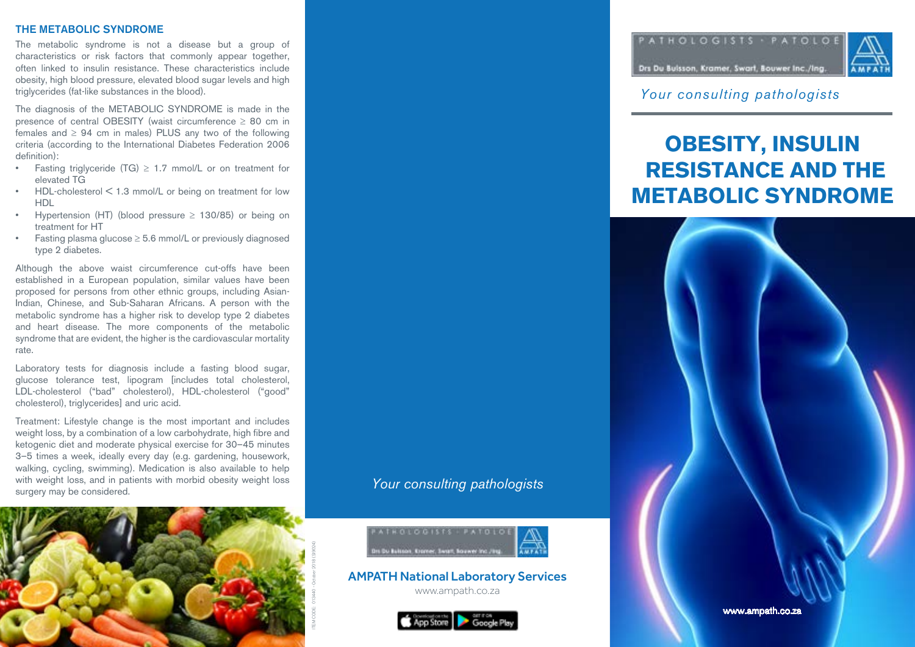### THE METABOLIC SYNDROME

The metabolic syndrome is not a disease but a group of characteristics or risk factors that commonly appear together, often linked to insulin resistance. These characteristics include obesity, high blood pressure, elevated blood sugar levels and high triglycerides (fat-like substances in the blood).

The diagnosis of the METABOLIC SYNDROME is made in the presence of central OBESITY (waist circumference  $\geq 80$  cm in females and  $\geq 94$  cm in males) PLUS any two of the following criteria (according to the International Diabetes Federation 2006 definition):

- Fasting triglyceride  $(TG) \geq 1.7$  mmol/L or on treatment for elevated TG
- HDL-cholesterol < 1.3 mmol/L or being on treatment for low HDL
- Hypertension (HT) (blood pressure  $\geq$  130/85) or being on treatment for HT
- Fasting plasma glucose  $\geq$  5.6 mmol/L or previously diagnosed type 2 diabetes.

Although the above waist circumference cut-offs have been established in a European population, similar values have been proposed for persons from other ethnic groups, including Asian-Indian, Chinese, and Sub-Saharan Africans. A person with the metabolic syndrome has a higher risk to develop type 2 diabetes and heart disease. The more components of the metabolic syndrome that are evident, the higher is the cardiovascular mortality rate.

Laboratory tests for diagnosis include a fasting blood sugar, glucose tolerance test, lipogram [includes total cholesterol, LDL-cholesterol ("bad" cholesterol), HDL-cholesterol ("good" cholesterol), triglycerides] and uric acid.

Treatment: Lifestyle change is the most important and includes weight loss, by a combination of a low carbohydrate, high fibre and ketogenic diet and moderate physical exercise for 30–45 minutes 3–5 times a week, ideally every day (e.g. gardening, housework, walking, cycling, swimming). Medication is also available to help with weight loss, and in patients with morbid obesity weight loss surgery may be considered.



*Your consulting pathologists*



AMPATH National Laboratory Services

www.ampath.co.za





*Your consulting pathologists*

# **OBESITY, INSULIN RESISTANCE AND THE METABOLIC SYNDROME**